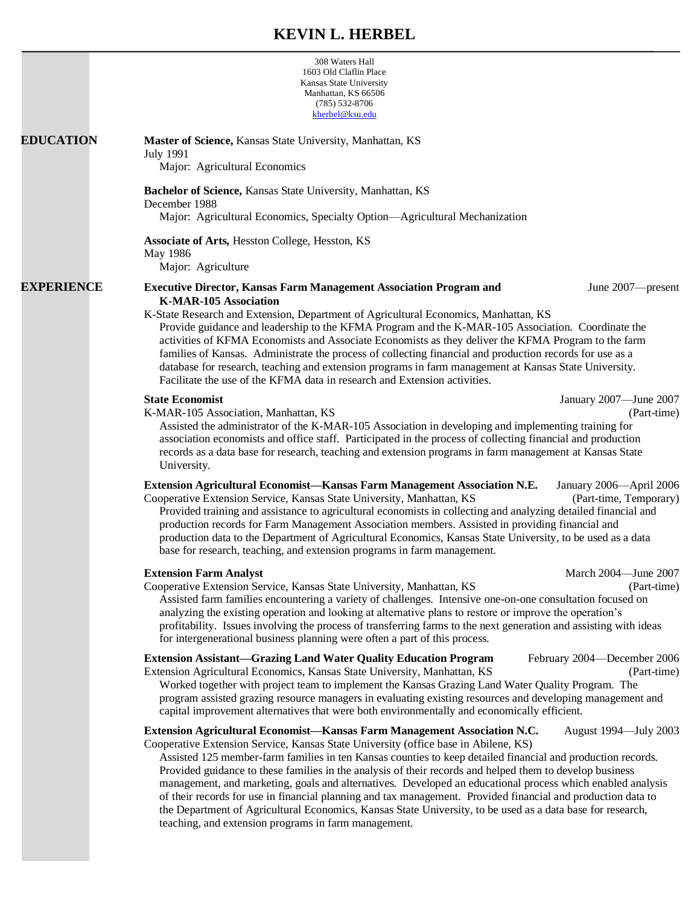# **KEVIN L. HERBEL**

|                   | 308 Waters Hall<br>1603 Old Claflin Place<br>Kansas State University<br>Manhattan, KS 66506<br>$(785) 532 - 8706$<br>kherbel@ksu.edu                                                                                                                                                                                                                                                                                                                                                                                                                                                                                                                                                                                                                                                                                    |
|-------------------|-------------------------------------------------------------------------------------------------------------------------------------------------------------------------------------------------------------------------------------------------------------------------------------------------------------------------------------------------------------------------------------------------------------------------------------------------------------------------------------------------------------------------------------------------------------------------------------------------------------------------------------------------------------------------------------------------------------------------------------------------------------------------------------------------------------------------|
| <b>EDUCATION</b>  | Master of Science, Kansas State University, Manhattan, KS<br><b>July 1991</b><br>Major: Agricultural Economics                                                                                                                                                                                                                                                                                                                                                                                                                                                                                                                                                                                                                                                                                                          |
|                   | Bachelor of Science, Kansas State University, Manhattan, KS<br>December 1988<br>Major: Agricultural Economics, Specialty Option—Agricultural Mechanization                                                                                                                                                                                                                                                                                                                                                                                                                                                                                                                                                                                                                                                              |
|                   | Associate of Arts, Hesston College, Hesston, KS<br>May 1986<br>Major: Agriculture                                                                                                                                                                                                                                                                                                                                                                                                                                                                                                                                                                                                                                                                                                                                       |
| <b>EXPERIENCE</b> | <b>Executive Director, Kansas Farm Management Association Program and</b><br>June 2007—present<br><b>K-MAR-105 Association</b><br>K-State Research and Extension, Department of Agricultural Economics, Manhattan, KS<br>Provide guidance and leadership to the KFMA Program and the K-MAR-105 Association. Coordinate the<br>activities of KFMA Economists and Associate Economists as they deliver the KFMA Program to the farm<br>families of Kansas. Administrate the process of collecting financial and production records for use as a<br>database for research, teaching and extension programs in farm management at Kansas State University.<br>Facilitate the use of the KFMA data in research and Extension activities.                                                                                     |
|                   | <b>State Economist</b><br>January 2007-June 2007<br>K-MAR-105 Association, Manhattan, KS<br>(Part-time)<br>Assisted the administrator of the K-MAR-105 Association in developing and implementing training for<br>association economists and office staff. Participated in the process of collecting financial and production<br>records as a data base for research, teaching and extension programs in farm management at Kansas State<br>University.                                                                                                                                                                                                                                                                                                                                                                 |
|                   | <b>Extension Agricultural Economist-Kansas Farm Management Association N.E.</b><br>January 2006-April 2006<br>Cooperative Extension Service, Kansas State University, Manhattan, KS<br>(Part-time, Temporary)<br>Provided training and assistance to agricultural economists in collecting and analyzing detailed financial and<br>production records for Farm Management Association members. Assisted in providing financial and<br>production data to the Department of Agricultural Economics, Kansas State University, to be used as a data<br>base for research, teaching, and extension programs in farm management.                                                                                                                                                                                             |
|                   | <b>Extension Farm Analyst</b><br>March 2004-June 2007<br>Cooperative Extension Service, Kansas State University, Manhattan, KS<br>(Part-time)<br>Assisted farm families encountering a variety of challenges. Intensive one-on-one consultation focused on<br>analyzing the existing operation and looking at alternative plans to restore or improve the operation's<br>profitability. Issues involving the process of transferring farms to the next generation and assisting with ideas<br>for intergenerational business planning were often a part of this process.                                                                                                                                                                                                                                                |
|                   | <b>Extension Assistant—Grazing Land Water Quality Education Program</b><br>February 2004—December 2006<br>Extension Agricultural Economics, Kansas State University, Manhattan, KS<br>(Part-time)<br>Worked together with project team to implement the Kansas Grazing Land Water Quality Program. The<br>program assisted grazing resource managers in evaluating existing resources and developing management and<br>capital improvement alternatives that were both environmentally and economically efficient.                                                                                                                                                                                                                                                                                                      |
|                   | Extension Agricultural Economist-Kansas Farm Management Association N.C.<br>August 1994—July 2003<br>Cooperative Extension Service, Kansas State University (office base in Abilene, KS)<br>Assisted 125 member-farm families in ten Kansas counties to keep detailed financial and production records.<br>Provided guidance to these families in the analysis of their records and helped them to develop business<br>management, and marketing, goals and alternatives. Developed an educational process which enabled analysis<br>of their records for use in financial planning and tax management. Provided financial and production data to<br>the Department of Agricultural Economics, Kansas State University, to be used as a data base for research,<br>teaching, and extension programs in farm management. |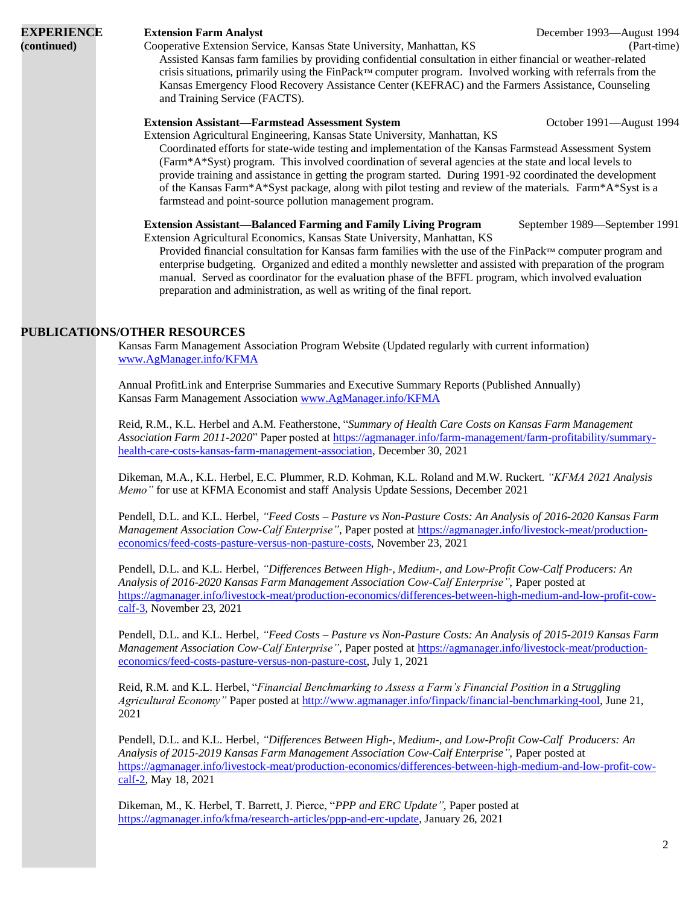### **(continued)** Cooperative Extension Service, Kansas State University, Manhattan, KS (Part-time)

**EXPERIENCE Extension Farm Analyst** December 1993—August 1994

Assisted Kansas farm families by providing confidential consultation in either financial or weather-related crisis situations, primarily using the FinPack™ computer program. Involved working with referrals from the Kansas Emergency Flood Recovery Assistance Center (KEFRAC) and the Farmers Assistance, Counseling and Training Service (FACTS).

# **Extension Assistant—Farmstead Assessment System** October 1991—August 1994

Extension Agricultural Engineering, Kansas State University, Manhattan, KS

Coordinated efforts for state-wide testing and implementation of the Kansas Farmstead Assessment System (Farm\*A\*Syst) program. This involved coordination of several agencies at the state and local levels to provide training and assistance in getting the program started. During 1991-92 coordinated the development of the Kansas Farm\*A\*Syst package, along with pilot testing and review of the materials. Farm\*A\*Syst is a farmstead and point-source pollution management program.

**Extension Assistant—Balanced Farming and Family Living Program** September 1989—September 1991 Extension Agricultural Economics, Kansas State University, Manhattan, KS

Provided financial consultation for Kansas farm families with the use of the FinPack™ computer program and enterprise budgeting. Organized and edited a monthly newsletter and assisted with preparation of the program manual. Served as coordinator for the evaluation phase of the BFFL program, which involved evaluation preparation and administration, as well as writing of the final report.

# **PUBLICATIONS/OTHER RESOURCES**

Kansas Farm Management Association Program Website (Updated regularly with current information) [www.AgManager.info/KFMA](http://www.agmanager.info/KFMA)

Annual ProfitLink and Enterprise Summaries and Executive Summary Reports (Published Annually) Kansas Farm Management Association [www.AgManager.info/KFMA](http://www.agmanager.info/KFMA)

Reid, R.M., K.L. Herbel and A.M. Featherstone, "*Summary of Health Care Costs on Kansas Farm Management Association Farm 2011-2020*" Paper posted at [https://agmanager.info/farm-management/farm-profitability/summary](https://agmanager.info/farm-management/farm-profitability/summary-health-care-costs-kansas-farm-management-association)[health-care-costs-kansas-farm-management-association,](https://agmanager.info/farm-management/farm-profitability/summary-health-care-costs-kansas-farm-management-association) December 30, 2021

Dikeman, M.A., K.L. Herbel, E.C. Plummer, R.D. Kohman, K.L. Roland and M.W. Ruckert. *"KFMA 2021 Analysis Memo"* for use at KFMA Economist and staff Analysis Update Sessions, December 2021

Pendell, D.L. and K.L. Herbel, *"Feed Costs – Pasture vs Non-Pasture Costs: An Analysis of 2016-2020 Kansas Farm Management Association Cow-Calf Enterprise"*, Paper posted at [https://agmanager.info/livestock-meat/production](https://agmanager.info/livestock-meat/production-economics/feed-costs-pasture-versus-non-pasture-costs)[economics/feed-costs-pasture-versus-non-pasture-costs,](https://agmanager.info/livestock-meat/production-economics/feed-costs-pasture-versus-non-pasture-costs) November 23, 2021

Pendell, D.L. and K.L. Herbel, *"Differences Between High-, Medium-, and Low-Profit Cow-Calf Producers: An Analysis of 2016-2020 Kansas Farm Management Association Cow-Calf Enterprise"*, Paper posted at [https://agmanager.info/livestock-meat/production-economics/differences-between-high-medium-and-low-profit-cow](https://agmanager.info/livestock-meat/production-economics/differences-between-high-medium-and-low-profit-cow-calf-3)[calf-3,](https://agmanager.info/livestock-meat/production-economics/differences-between-high-medium-and-low-profit-cow-calf-3) November 23, 2021

Pendell, D.L. and K.L. Herbel, *"Feed Costs – Pasture vs Non-Pasture Costs: An Analysis of 2015-2019 Kansas Farm Management Association Cow-Calf Enterprise"*, Paper posted at [https://agmanager.info/livestock-meat/production](https://agmanager.info/livestock-meat/production-economics/feed-costs-pasture-versus-non-pasture-cost)[economics/feed-costs-pasture-versus-non-pasture-cost,](https://agmanager.info/livestock-meat/production-economics/feed-costs-pasture-versus-non-pasture-cost) July 1, 2021

Reid, R.M. and K.L. Herbel, "*Financial Benchmarking to Assess a Farm's Financial Position in a Struggling Agricultural Economy"* Paper posted a[t http://www.agmanager.info/finpack/financial-benchmarking-tool,](http://www.agmanager.info/finpack/financial-benchmarking-tool) June 21, 2021

Pendell, D.L. and K.L. Herbel, *"Differences Between High-, Medium-, and Low-Profit Cow-Calf Producers: An Analysis of 2015-2019 Kansas Farm Management Association Cow-Calf Enterprise"*, Paper posted at [https://agmanager.info/livestock-meat/production-economics/differences-between-high-medium-and-low-profit-cow](https://agmanager.info/livestock-meat/production-economics/differences-between-high-medium-and-low-profit-cow-calf-2)[calf-2,](https://agmanager.info/livestock-meat/production-economics/differences-between-high-medium-and-low-profit-cow-calf-2) May 18, 2021

Dikeman, M., K. Herbel, T. Barrett, J. Pierce, "*PPP and ERC Update"*, Paper posted at [https://agmanager.info/kfma/research-articles/ppp-and-erc-update,](https://agmanager.info/kfma/research-articles/ppp-and-erc-update) January 26, 2021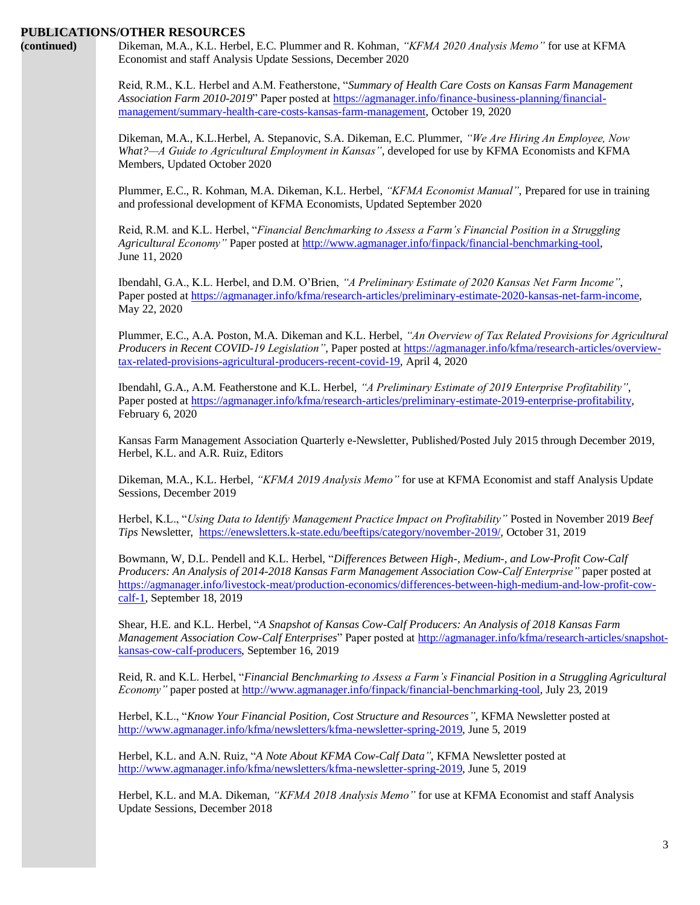**(continued)** Dikeman, M.A., K.L. Herbel, E.C. Plummer and R. Kohman, *"KFMA 2020 Analysis Memo"* for use at KFMA Economist and staff Analysis Update Sessions, December 2020

> Reid, R.M., K.L. Herbel and A.M. Featherstone, "*Summary of Health Care Costs on Kansas Farm Management Association Farm 2010-2019*" Paper posted at [https://agmanager.info/finance-business-planning/financial](https://agmanager.info/finance-business-planning/financial-management/summary-health-care-costs-kansas-farm-management)[management/summary-health-care-costs-kansas-farm-management,](https://agmanager.info/finance-business-planning/financial-management/summary-health-care-costs-kansas-farm-management) October 19, 2020

> Dikeman, M.A., K.L.Herbel, A. Stepanovic, S.A. Dikeman, E.C. Plummer, *"We Are Hiring An Employee, Now What?—A Guide to Agricultural Employment in Kansas"*, developed for use by KFMA Economists and KFMA Members, Updated October 2020

Plummer, E.C., R. Kohman, M.A. Dikeman, K.L. Herbel, *"KFMA Economist Manual"*, Prepared for use in training and professional development of KFMA Economists, Updated September 2020

Reid, R.M. and K.L. Herbel, "*Financial Benchmarking to Assess a Farm's Financial Position in a Struggling Agricultural Economy"* Paper posted at [http://www.agmanager.info/finpack/financial-benchmarking-tool,](http://www.agmanager.info/finpack/financial-benchmarking-tool) June 11, 2020

Ibendahl, G.A., K.L. Herbel, and D.M. O'Brien, *"A Preliminary Estimate of 2020 Kansas Net Farm Income"*, Paper posted at [https://agmanager.info/kfma/research-articles/preliminary-estimate-2020-kansas-net-farm-income,](https://agmanager.info/kfma/research-articles/preliminary-estimate-2020-kansas-net-farm-income) May 22, 2020

Plummer, E.C., A.A. Poston, M.A. Dikeman and K.L. Herbel, *"An Overview of Tax Related Provisions for Agricultural Producers in Recent COVID-19 Legislation"*, Paper posted at [https://agmanager.info/kfma/research-articles/overview](https://agmanager.info/kfma/research-articles/overview-tax-related-provisions-agricultural-producers-recent-covid-19)[tax-related-provisions-agricultural-producers-recent-covid-19,](https://agmanager.info/kfma/research-articles/overview-tax-related-provisions-agricultural-producers-recent-covid-19) April 4, 2020

Ibendahl, G.A., A.M. Featherstone and K.L. Herbel, *"A Preliminary Estimate of 2019 Enterprise Profitability"*, Paper posted at [https://agmanager.info/kfma/research-articles/preliminary-estimate-2019-enterprise-profitability,](https://agmanager.info/kfma/research-articles/preliminary-estimate-2019-enterprise-profitability) February 6, 2020

Kansas Farm Management Association Quarterly e-Newsletter, Published/Posted July 2015 through December 2019, Herbel, K.L. and A.R. Ruiz, Editors

Dikeman, M.A., K.L. Herbel, *"KFMA 2019 Analysis Memo"* for use at KFMA Economist and staff Analysis Update Sessions, December 2019

Herbel, K.L., "*Using Data to Identify Management Practice Impact on Profitability"* Posted in November 2019 *Beef Tips* Newsletter, [https://enewsletters.k-state.edu/beeftips/category/november-2019/,](https://enewsletters.k-state.edu/beeftips/category/november-2019/) October 31, 2019

Bowmann, W, D.L. Pendell and K.L. Herbel, "*Differences Between High-, Medium-, and Low-Profit Cow-Calf Producers: An Analysis of 2014-2018 Kansas Farm Management Association Cow-Calf Enterprise"* paper posted at [https://agmanager.info/livestock-meat/production-economics/differences-between-high-medium-and-low-profit-cow](https://agmanager.info/livestock-meat/production-economics/differences-between-high-medium-and-low-profit-cow-calf-1)[calf-1,](https://agmanager.info/livestock-meat/production-economics/differences-between-high-medium-and-low-profit-cow-calf-1) September 18, 2019

Shear, H.E. and K.L. Herbel, "*A Snapshot of Kansas Cow-Calf Producers: An Analysis of 2018 Kansas Farm Management Association Cow-Calf Enterprises*" Paper posted at [http://agmanager.info/kfma/research-articles/snapshot](http://agmanager.info/kfma/research-articles/snapshot-kansas-cow-calf-producers)[kansas-cow-calf-producers,](http://agmanager.info/kfma/research-articles/snapshot-kansas-cow-calf-producers) September 16, 2019

Reid, R. and K.L. Herbel, "*Financial Benchmarking to Assess a Farm's Financial Position in a Struggling Agricultural Economy"* paper posted at [http://www.agmanager.info/finpack/financial-benchmarking-tool,](http://www.agmanager.info/finpack/financial-benchmarking-tool) July 23, 2019

Herbel, K.L., "*Know Your Financial Position, Cost Structure and Resources"*, KFMA Newsletter posted at [http://www.agmanager.info/kfma/newsletters/kfma-newsletter-spring-2019,](http://www.agmanager.info/kfma/newsletters/kfma-newsletter-spring-2019) June 5, 2019

Herbel, K.L. and A.N. Ruiz, "*A Note About KFMA Cow-Calf Data"*, KFMA Newsletter posted at [http://www.agmanager.info/kfma/newsletters/kfma-newsletter-spring-2019,](http://www.agmanager.info/kfma/newsletters/kfma-newsletter-spring-2019) June 5, 2019

Herbel, K.L. and M.A. Dikeman, *"KFMA 2018 Analysis Memo"* for use at KFMA Economist and staff Analysis Update Sessions, December 2018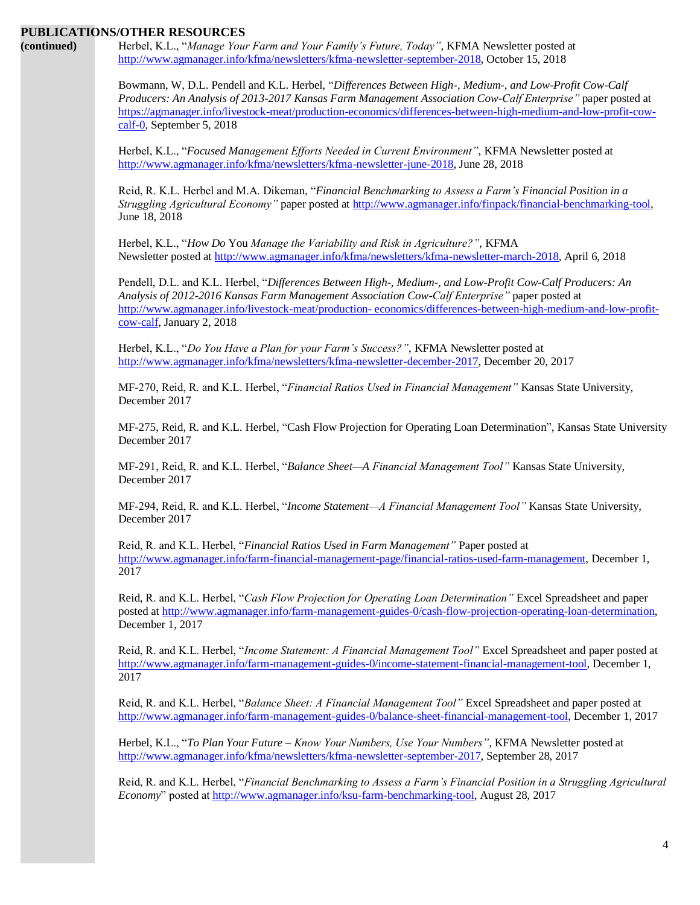| (continued) | PUBLICATIONS/OTHER RESOURCES<br>Herbel, K.L., "Manage Your Farm and Your Family's Future, Today", KFMA Newsletter posted at<br>http://www.agmanager.info/kfma/newsletters/kfma-newsletter-september-2018, October 15, 2018                                                                                                                                              |
|-------------|-------------------------------------------------------------------------------------------------------------------------------------------------------------------------------------------------------------------------------------------------------------------------------------------------------------------------------------------------------------------------|
|             | Bowmann, W, D.L. Pendell and K.L. Herbel, "Differences Between High-, Medium-, and Low-Profit Cow-Calf<br>Producers: An Analysis of 2013-2017 Kansas Farm Management Association Cow-Calf Enterprise" paper posted at<br>https://agmanager.info/livestock-meat/production-economics/differences-between-high-medium-and-low-profit-cow-<br>$calf$ -0, September 5, 2018 |
|             | Herbel, K.L., "Focused Management Efforts Needed in Current Environment", KFMA Newsletter posted at<br>http://www.agmanager.info/kfma/newsletters/kfma-newsletter-june-2018, June 28, 2018                                                                                                                                                                              |
|             | Reid, R. K.L. Herbel and M.A. Dikeman, "Financial Benchmarking to Assess a Farm's Financial Position in a<br>Struggling Agricultural Economy" paper posted at http://www.agmanager.info/finpack/financial-benchmarking-tool,<br>June 18, 2018                                                                                                                           |
|             | Herbel, K.L., "How Do You Manage the Variability and Risk in Agriculture?", KFMA<br>Newsletter posted at http://www.agmanager.info/kfma/newsletters/kfma-newsletter-march-2018, April 6, 2018                                                                                                                                                                           |
|             | Pendell, D.L. and K.L. Herbel, "Differences Between High-, Medium-, and Low-Profit Cow-Calf Producers: An<br>Analysis of 2012-2016 Kansas Farm Management Association Cow-Calf Enterprise" paper posted at<br>http://www.agmanager.info/livestock-meat/production-economics/differences-between-high-medium-and-low-profit-<br>cow-calf, January 2, 2018                |
|             | Herbel, K.L., "Do You Have a Plan for your Farm's Success?", KFMA Newsletter posted at<br>http://www.agmanager.info/kfma/newsletters/kfma-newsletter-december-2017, December 20, 2017                                                                                                                                                                                   |
|             | MF-270, Reid, R. and K.L. Herbel, "Financial Ratios Used in Financial Management" Kansas State University,<br>December 2017                                                                                                                                                                                                                                             |
|             | MF-275, Reid, R. and K.L. Herbel, "Cash Flow Projection for Operating Loan Determination", Kansas State University<br>December 2017                                                                                                                                                                                                                                     |
|             | MF-291, Reid, R. and K.L. Herbel, "Balance Sheet-A Financial Management Tool" Kansas State University,<br>December 2017                                                                                                                                                                                                                                                 |
|             | MF-294, Reid, R. and K.L. Herbel, "Income Statement—A Financial Management Tool" Kansas State University,<br>December 2017                                                                                                                                                                                                                                              |
|             | Reid, R. and K.L. Herbel, "Financial Ratios Used in Farm Management" Paper posted at<br>http://www.agmanager.info/farm-financial-management-page/financial-ratios-used-farm-management, December 1,<br>2017                                                                                                                                                             |
|             | Reid, R. and K.L. Herbel, "Cash Flow Projection for Operating Loan Determination" Excel Spreadsheet and paper<br>posted at http://www.agmanager.info/farm-management-guides-0/cash-flow-projection-operating-loan-determination,<br>December 1, 2017                                                                                                                    |
|             | Reid, R. and K.L. Herbel, "Income Statement: A Financial Management Tool" Excel Spreadsheet and paper posted at<br>http://www.agmanager.info/farm-management-guides-0/income-statement-financial-management-tool, December 1,<br>2017                                                                                                                                   |

Reid, R. and K.L. Herbel, "*Balance Sheet: A Financial Management Tool"* Excel Spreadsheet and paper posted at [http://www.agmanager.info/farm-management-guides-0/balance-sheet-financial-management-tool,](http://www.agmanager.info/farm-management-guides-0/balance-sheet-financial-management-tool) December 1, 2017

Herbel, K.L., "*To Plan Your Future – Know Your Numbers, Use Your Numbers"*, KFMA Newsletter posted at [http://www.agmanager.info/kfma/newsletters/kfma-newsletter-september-2017,](http://www.agmanager.info/kfma/newsletters/kfma-newsletter-september-2017) September 28, 2017

Reid, R. and K.L. Herbel, "*Financial Benchmarking to Assess a Farm's Financial Position in a Struggling Agricultural Economy*" posted at [http://www.agmanager.info/ksu-farm-benchmarking-tool,](http://www.agmanager.info/ksu-farm-benchmarking-tool) August 28, 2017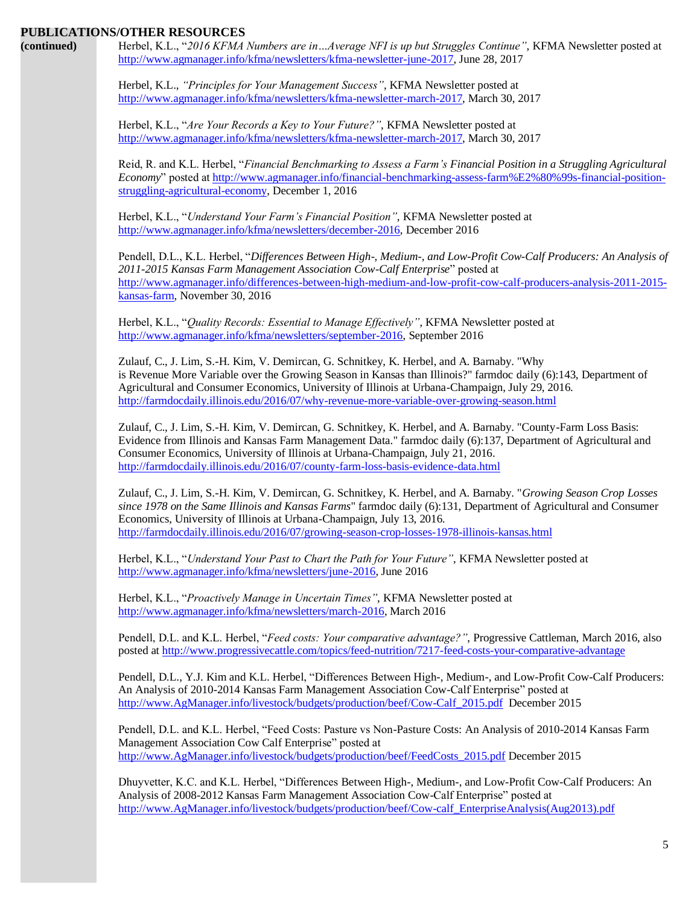| (continued) | Herbel, K.L., "2016 KFMA Numbers are inAverage NFI is up but Struggles Continue", KFMA Newsletter posted at<br>http://www.agmanager.info/kfma/newsletters/kfma-newsletter-june-2017, June 28, 2017                                                                                                                                                                                                             |
|-------------|----------------------------------------------------------------------------------------------------------------------------------------------------------------------------------------------------------------------------------------------------------------------------------------------------------------------------------------------------------------------------------------------------------------|
|             | Herbel, K.L., "Principles for Your Management Success", KFMA Newsletter posted at<br>http://www.agmanager.info/kfma/newsletters/kfma-newsletter-march-2017, March 30, 2017                                                                                                                                                                                                                                     |
|             | Herbel, K.L., "Are Your Records a Key to Your Future?", KFMA Newsletter posted at<br>http://www.agmanager.info/kfma/newsletters/kfma-newsletter-march-2017, March 30, 2017                                                                                                                                                                                                                                     |
|             | Reid, R. and K.L. Herbel, "Financial Benchmarking to Assess a Farm's Financial Position in a Struggling Agricultural<br>Economy" posted at http://www.agmanager.info/financial-benchmarking-assess-farm%E2%80%99s-financial-position-<br>struggling-agricultural-economy, December 1, 2016                                                                                                                     |
|             | Herbel, K.L., "Understand Your Farm's Financial Position", KFMA Newsletter posted at<br>http://www.agmanager.info/kfma/newsletters/december-2016, December 2016                                                                                                                                                                                                                                                |
|             | Pendell, D.L., K.L. Herbel, "Differences Between High-, Medium-, and Low-Profit Cow-Calf Producers: An Analysis of<br>2011-2015 Kansas Farm Management Association Cow-Calf Enterprise" posted at<br>http://www.agmanager.info/differences-between-high-medium-and-low-profit-cow-calf-producers-analysis-2011-2015-<br>kansas-farm, November 30, 2016                                                         |
|             | Herbel, K.L., "Quality Records: Essential to Manage Effectively", KFMA Newsletter posted at<br>http://www.agmanager.info/kfma/newsletters/september-2016, September 2016                                                                                                                                                                                                                                       |
|             | Zulauf, C., J. Lim, S.-H. Kim, V. Demircan, G. Schnitkey, K. Herbel, and A. Barnaby. "Why<br>is Revenue More Variable over the Growing Season in Kansas than Illinois?" farmdoc daily (6):143, Department of<br>Agricultural and Consumer Economics, University of Illinois at Urbana-Champaign, July 29, 2016.<br>http://farmdocdaily.illinois.edu/2016/07/why-revenue-more-variable-over-growing-season.html |
|             | Zulauf, C., J. Lim, S.-H. Kim, V. Demircan, G. Schnitkey, K. Herbel, and A. Barnaby. "County-Farm Loss Basis:<br>Evidence from Illinois and Kansas Farm Management Data." farmdoc daily (6):137, Department of Agricultural and<br>Consumer Economics, University of Illinois at Urbana-Champaign, July 21, 2016.<br>http://farmdocdaily.illinois.edu/2016/07/county-farm-loss-basis-evidence-data.html        |
|             | Zulauf, C., J. Lim, S.-H. Kim, V. Demircan, G. Schnitkey, K. Herbel, and A. Barnaby. "Growing Season Crop Losses<br>since 1978 on the Same Illinois and Kansas Farms" farmdoc daily (6):131, Department of Agricultural and Consumer<br>Economics, University of Illinois at Urbana-Champaign, July 13, 2016.<br>http://farmdocdaily.illinois.edu/2016/07/growing-season-crop-losses-1978-illinois-kansas.html |
|             | Herbel, K.L., "Understand Your Past to Chart the Path for Your Future", KFMA Newsletter posted at<br>http://www.agmanager.info/kfma/newsletters/june-2016, June 2016                                                                                                                                                                                                                                           |
|             | Herbel, K.L., "Proactively Manage in Uncertain Times", KFMA Newsletter posted at<br>http://www.agmanager.info/kfma/newsletters/march-2016, March 2016                                                                                                                                                                                                                                                          |
|             | Pendell, D.L. and K.L. Herbel, "Feed costs: Your comparative advantage?", Progressive Cattleman, March 2016, also<br>posted at http://www.progressivecattle.com/topics/feed-nutrition/7217-feed-costs-your-comparative-advantage                                                                                                                                                                               |
|             | Pendell, D.L., Y.J. Kim and K.L. Herbel, "Differences Between High-, Medium-, and Low-Profit Cow-Calf Producers:<br>An Analysis of 2010-2014 Kansas Farm Management Association Cow-Calf Enterprise" posted at<br>http://www.AgManager.info/livestock/budgets/production/beef/Cow-Calf_2015.pdf December 2015                                                                                                  |
|             | Pendell, D.L. and K.L. Herbel, "Feed Costs: Pasture vs Non-Pasture Costs: An Analysis of 2010-2014 Kansas Farm<br>Management Association Cow Calf Enterprise" posted at<br>http://www.AgManager.info/livestock/budgets/production/beef/FeedCosts_2015.pdf December 2015                                                                                                                                        |
|             | Dhuyvetter, K.C. and K.L. Herbel, "Differences Between High-, Medium-, and Low-Profit Cow-Calf Producers: An<br>Analysis of 2008-2012 Kansas Farm Management Association Cow-Calf Enterprise" posted at<br>http://www.AgManager.info/livestock/budgets/production/beef/Cow-calf EnterpriseAnalysis(Aug2013).pdf                                                                                                |
|             |                                                                                                                                                                                                                                                                                                                                                                                                                |